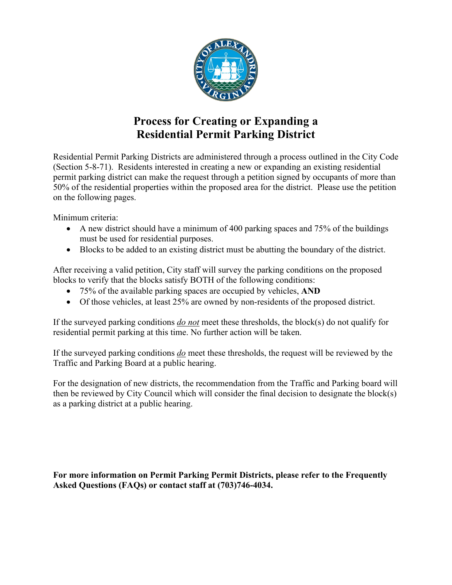

# **Process for Creating or Expanding a Residential Permit Parking District**

Residential Permit Parking Districts are administered through a process outlined in the City Code (Section 5-8-71). Residents interested in creating a new or expanding an existing residential permit parking district can make the request through a petition signed by occupants of more than 50% of the residential properties within the proposed area for the district. Please use the petition on the following pages.

Minimum criteria:

- A new district should have a minimum of 400 parking spaces and 75% of the buildings must be used for residential purposes.
- Blocks to be added to an existing district must be abutting the boundary of the district.

After receiving a valid petition, City staff will survey the parking conditions on the proposed blocks to verify that the blocks satisfy BOTH of the following conditions:

- 75% of the available parking spaces are occupied by vehicles, **AND**
- Of those vehicles, at least 25% are owned by non-residents of the proposed district.

If the surveyed parking conditions *do not* meet these thresholds, the block(s) do not qualify for residential permit parking at this time. No further action will be taken.

If the surveyed parking conditions *do* meet these thresholds, the request will be reviewed by the Traffic and Parking Board at a public hearing.

For the designation of new districts, the recommendation from the Traffic and Parking board will then be reviewed by City Council which will consider the final decision to designate the block(s) as a parking district at a public hearing.

**For more information on Permit Parking Permit Districts, please refer to the Frequently Asked Questions (FAQs) or contact staff at (703)746-4034.**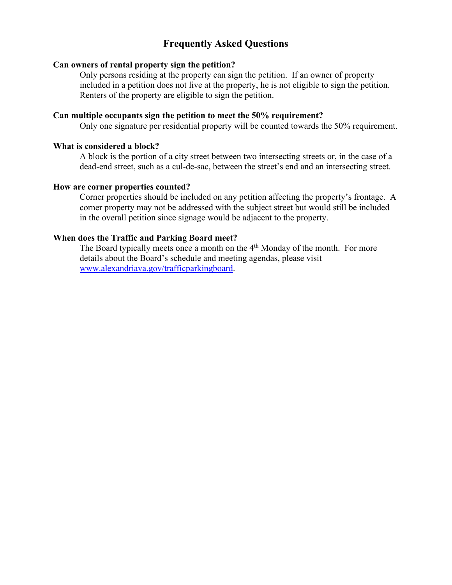# **Frequently Asked Questions**

### **Can owners of rental property sign the petition?**

Only persons residing at the property can sign the petition. If an owner of property included in a petition does not live at the property, he is not eligible to sign the petition. Renters of the property are eligible to sign the petition.

#### **Can multiple occupants sign the petition to meet the 50% requirement?**

Only one signature per residential property will be counted towards the 50% requirement.

## **What is considered a block?**

A block is the portion of a city street between two intersecting streets or, in the case of a dead-end street, such as a cul-de-sac, between the street's end and an intersecting street.

### **How are corner properties counted?**

Corner properties should be included on any petition affecting the property's frontage. A corner property may not be addressed with the subject street but would still be included in the overall petition since signage would be adjacent to the property.

## **When does the Traffic and Parking Board meet?**

The Board typically meets once a month on the 4<sup>th</sup> Monday of the month. For more details about the Board's schedule and meeting agendas, please visit [www.alexandriava.gov/trafficparkingboard.](http://www.alexandriava.gov/trafficparkingboard)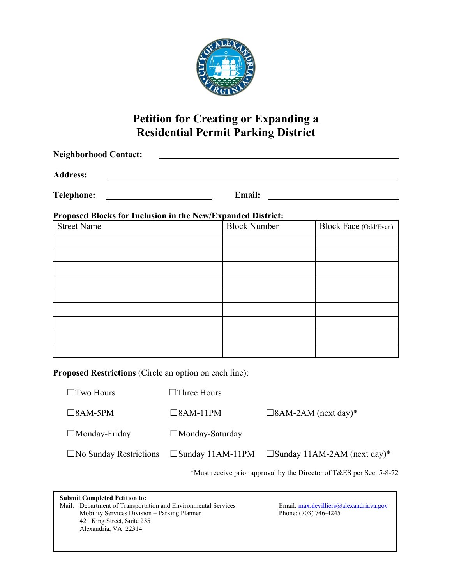

# **Petition for Creating or Expanding a Residential Permit Parking District**

| <b>Neighborhood Contact:</b>                                |                                         |                     |                                       |  |  |  |  |
|-------------------------------------------------------------|-----------------------------------------|---------------------|---------------------------------------|--|--|--|--|
| <b>Address:</b>                                             |                                         |                     |                                       |  |  |  |  |
| <b>Telephone:</b>                                           | <u> 1980 - Johann Barbara, martin a</u> | Email:              |                                       |  |  |  |  |
| Proposed Blocks for Inclusion in the New/Expanded District: |                                         |                     |                                       |  |  |  |  |
| <b>Street Name</b>                                          |                                         | <b>Block Number</b> | Block Face (Odd/Even)                 |  |  |  |  |
|                                                             |                                         |                     |                                       |  |  |  |  |
|                                                             |                                         |                     |                                       |  |  |  |  |
|                                                             |                                         |                     |                                       |  |  |  |  |
|                                                             |                                         |                     |                                       |  |  |  |  |
|                                                             |                                         |                     |                                       |  |  |  |  |
|                                                             |                                         |                     |                                       |  |  |  |  |
|                                                             |                                         |                     |                                       |  |  |  |  |
| Proposed Restrictions (Circle an option on each line):      |                                         |                     |                                       |  |  |  |  |
| $\Box$ Two Hours                                            | $\Box$ Three Hours                      |                     |                                       |  |  |  |  |
| $\square$ 8AM-5PM                                           | $\square$ 8AM-11PM                      |                     | $\square$ 8AM-2AM (next day)*         |  |  |  |  |
| $\Box$ Monday-Friday                                        | □Monday-Saturday                        |                     |                                       |  |  |  |  |
| $\square$ No Sunday Restrictions                            | $\square$ Sunday 11AM-11PM              |                     | $\square$ Sunday 11AM-2AM (next day)* |  |  |  |  |

\*Must receive prior approval by the Director of T&ES per Sec. 5-8-72

**Submit Completed Petition to:** Mail: Department of Transportation and Environmental Services Email: [max.devilliers@alexandriava.gov](mailto:max.devilliers@alexandriava.gov)<br>Mobility Services Division – Parking Planner Phone: (703) 746-4245 Mobility Services Division - Parking Planner 421 King Street, Suite 235 Alexandria, VA 22314